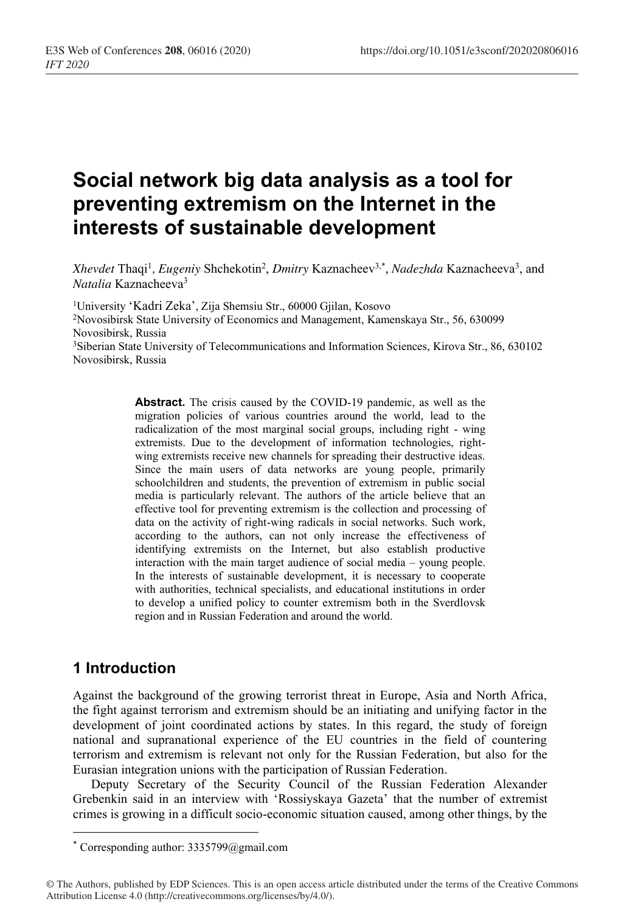# **Social network big data analysis as a tool for preventing extremism on the Internet in the interests of sustainable development**

Xhevdet Thaqi<sup>1</sup>, *Eugeniy* Shchekotin<sup>2</sup>, *Dmitry* Kaznacheev<sup>3,\*</sup>, *Nadezhda* Kaznacheeva<sup>3</sup>, and *Natalia* Kaznacheeva3

1University 'Kadri Zeka', Zija Shemsiu Str., 60000 Gjilan, Kosovo 2Novosibirsk State University of Economics and Management, Kamenskaya Str., 56, 630099 Novosibirsk, Russia 3Siberian State University of Telecommunications and Information Sciences, Kirova Str., 86, 630102 Novosibirsk, Russia

> **Abstract.** The crisis caused by the COVID-19 pandemic, as well as the migration policies of various countries around the world, lead to the radicalization of the most marginal social groups, including right - wing extremists. Due to the development of information technologies, rightwing extremists receive new channels for spreading their destructive ideas. Since the main users of data networks are young people, primarily schoolchildren and students, the prevention of extremism in public social media is particularly relevant. The authors of the article believe that an effective tool for preventing extremism is the collection and processing of data on the activity of right-wing radicals in social networks. Such work, according to the authors, can not only increase the effectiveness of identifying extremists on the Internet, but also establish productive interaction with the main target audience of social media – young people. In the interests of sustainable development, it is necessary to cooperate with authorities, technical specialists, and educational institutions in order to develop a unified policy to counter extremism both in the Sverdlovsk region and in Russian Federation and around the world.

## **1 Introduction**

Against the background of the growing terrorist threat in Europe, Asia and North Africa, the fight against terrorism and extremism should be an initiating and unifying factor in the development of joint coordinated actions by states. In this regard, the study of foreign national and supranational experience of the EU countries in the field of countering terrorism and extremism is relevant not only for the Russian Federation, but also for the Eurasian integration unions with the participation of Russian Federation.

Deputy Secretary of the Security Council of the Russian Federation Alexander Grebenkin said in an interview with 'Rossiyskaya Gazeta' that the number of extremist crimes is growing in a difficult socio-economic situation caused, among other things, by the

<sup>\*</sup> Corresponding author: 3335799@gmail.com

<sup>©</sup> The Authors, published by EDP Sciences. This is an open access article distributed under the terms of the Creative Commons Attribution License 4.0 (http://creativecommons.org/licenses/by/4.0/).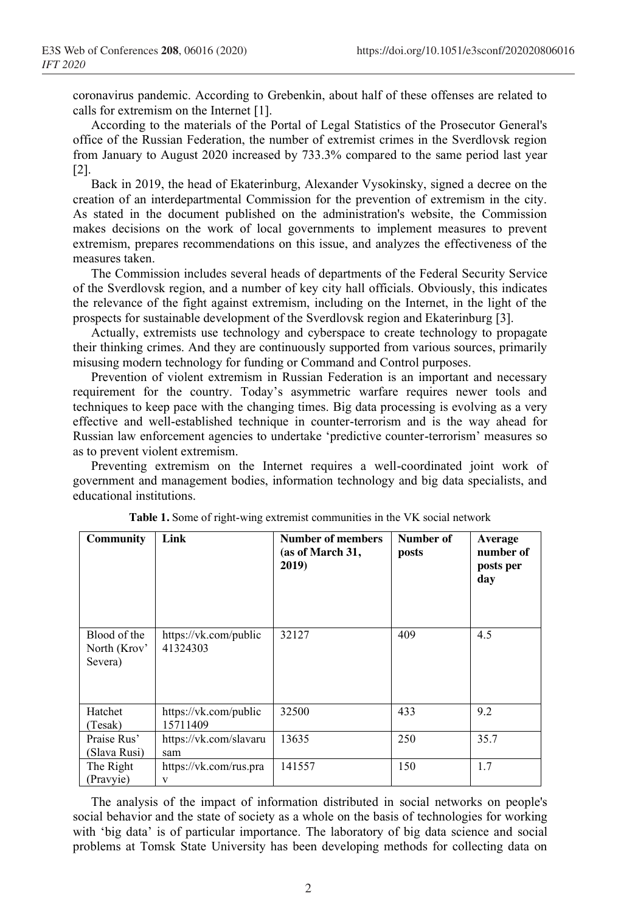coronavirus pandemic. According to Grebenkin, about half of these offenses are related to calls for extremism on the Internet [1].

According to the materials of the Portal of Legal Statistics of the Prosecutor General's office of the Russian Federation, the number of extremist crimes in the Sverdlovsk region from January to August 2020 increased by 733.3% compared to the same period last year [2].

Back in 2019, the head of Ekaterinburg, Alexander Vysokinsky, signed a decree on the creation of an interdepartmental Commission for the prevention of extremism in the city. As stated in the document published on the administration's website, the Commission makes decisions on the work of local governments to implement measures to prevent extremism, prepares recommendations on this issue, and analyzes the effectiveness of the measures taken.

The Commission includes several heads of departments of the Federal Security Service of the Sverdlovsk region, and a number of key city hall officials. Obviously, this indicates the relevance of the fight against extremism, including on the Internet, in the light of the prospects for sustainable development of the Sverdlovsk region and Ekaterinburg [3].

Actually, extremists use technology and cyberspace to create technology to propagate their thinking crimes. And they are continuously supported from various sources, primarily misusing modern technology for funding or Command and Control purposes.

Prevention of violent extremism in Russian Federation is an important and necessary requirement for the country. Today's asymmetric warfare requires newer tools and techniques to keep pace with the changing times. Big data processing is evolving as a very effective and well-established technique in counter-terrorism and is the way ahead for Russian law enforcement agencies to undertake 'predictive counter-terrorism' measures so as to prevent violent extremism.

Preventing extremism on the Internet requires a well-coordinated joint work of government and management bodies, information technology and big data specialists, and educational institutions.

| <b>Community</b>                        | Link                              | Number of members<br>(as of March 31,<br>2019) | Number of<br>posts | Average<br>number of<br>posts per<br>day |
|-----------------------------------------|-----------------------------------|------------------------------------------------|--------------------|------------------------------------------|
| Blood of the<br>North (Krov'<br>Severa) | https://vk.com/public<br>41324303 | 32127                                          | 409                | 4.5                                      |
| Hatchet<br>(Tesak)                      | https://vk.com/public<br>15711409 | 32500                                          | 433                | 9.2                                      |
| Praise Rus'<br>(Slava Rusi)             | https://vk.com/slavaru<br>sam     | 13635                                          | 250                | 35.7                                     |
| The Right<br>(Pravyie)                  | https://vk.com/rus.pra<br>V       | 141557                                         | 150                | 1.7                                      |

**Table 1.** Some of right-wing extremist communities in the VK social network

The analysis of the impact of information distributed in social networks on people's social behavior and the state of society as a whole on the basis of technologies for working with 'big data' is of particular importance. The laboratory of big data science and social problems at Tomsk State University has been developing methods for collecting data on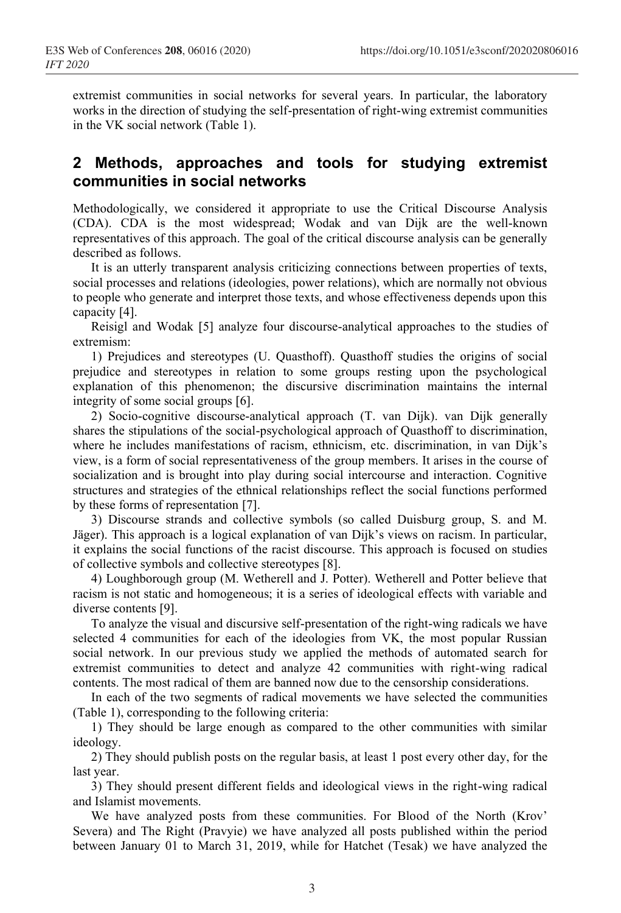extremist communities in social networks for several years. In particular, the laboratory works in the direction of studying the self-presentation of right-wing extremist communities in the VK social network (Table 1).

#### **2 Methods, approaches and tools for studying extremist communities in social networks**

Methodologically, we considered it appropriate to use the Critical Discourse Analysis (CDA). CDA is the most widespread; Wodak and van Dijk are the well-known representatives of this approach. The goal of the critical discourse analysis can be generally described as follows.

It is an utterly transparent analysis criticizing connections between properties of texts, social processes and relations (ideologies, power relations), which are normally not obvious to people who generate and interpret those texts, and whose effectiveness depends upon this capacity [4].

Reisigl and Wodak [5] analyze four discourse-analytical approaches to the studies of extremism:

1) Prejudices and stereotypes (U. Quasthoff). Quasthoff studies the origins of social prejudice and stereotypes in relation to some groups resting upon the psychological explanation of this phenomenon; the discursive discrimination maintains the internal integrity of some social groups [6].

2) Socio-cognitive discourse-analytical approach (Т. van Dijk). van Dijk generally shares the stipulations of the social-psychological approach of Quasthoff to discrimination, where he includes manifestations of racism, ethnicism, etc. discrimination, in van Dijk's view, is a form of social representativeness of the group members. It arises in the course of socialization and is brought into play during social intercourse and interaction. Cognitive structures and strategies of the ethnical relationships reflect the social functions performed by these forms of representation [7].

3) Discourse strands and collective symbols (so called Duisburg group, S. and M. Jäger). This approach is a logical explanation of van Dijk's views on racism. In particular, it explains the social functions of the racist discourse. This approach is focused on studies of collective symbols and collective stereotypes [8].

4) Loughborough group (M. Wetherell and J. Potter). Wetherell and Potter believe that racism is not static and homogeneous; it is a series of ideological effects with variable and diverse contents [9].

To analyze the visual and discursive self-presentation of the right-wing radicals we have selected 4 communities for each of the ideologies from VK, the most popular Russian social network. In our previous study we applied the methods of automated search for extremist communities to detect and analyze 42 communities with right-wing radical contents. The most radical of them are banned now due to the censorship considerations.

In each of the two segments of radical movements we have selected the communities (Table 1), corresponding to the following criteria:

1) They should be large enough as compared to the other communities with similar ideology.

2) They should publish posts on the regular basis, at least 1 post every other day, for the last year.

3) They should present different fields and ideological views in the right-wing radical and Islamist movements.

We have analyzed posts from these communities. For Blood of the North (Krov' Severa) and The Right (Pravyie) we have analyzed all posts published within the period between January 01 to March 31, 2019, while for Hatchet (Tesak) we have analyzed the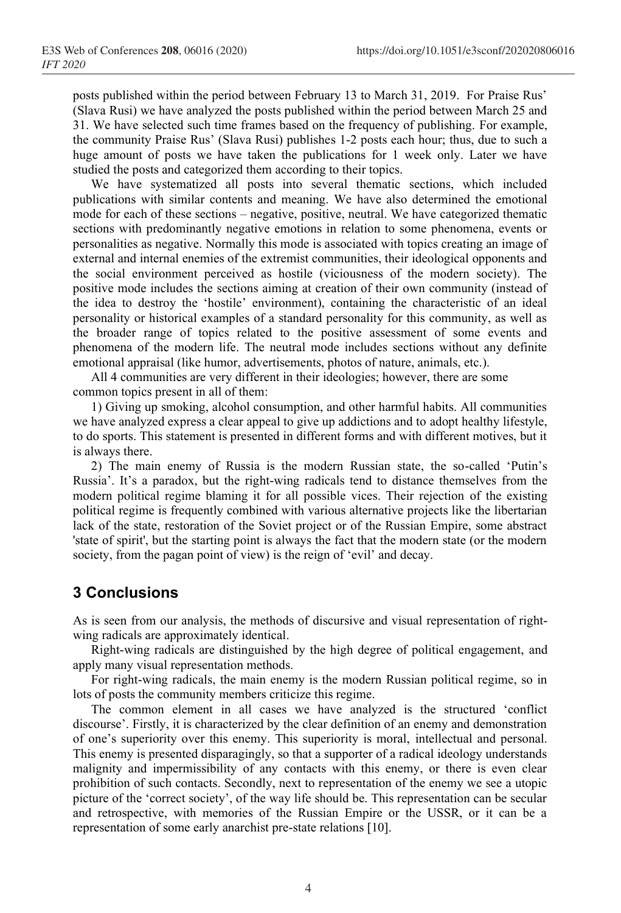posts published within the period between February 13 to March 31, 2019. For Praise Rus' (Slava Rusi) we have analyzed the posts published within the period between March 25 and 31. We have selected such time frames based on the frequency of publishing. For example, the community Praise Rus' (Slava Rusi) publishes 1-2 posts each hour; thus, due to such a huge amount of posts we have taken the publications for 1 week only. Later we have studied the posts and categorized them according to their topics.

We have systematized all posts into several thematic sections, which included publications with similar contents and meaning. We have also determined the emotional mode for each of these sections – negative, positive, neutral. We have categorized thematic sections with predominantly negative emotions in relation to some phenomena, events or personalities as negative. Normally this mode is associated with topics creating an image of external and internal enemies of the extremist communities, their ideological opponents and the social environment perceived as hostile (viciousness of the modern society). The positive mode includes the sections aiming at creation of their own community (instead of the idea to destroy the 'hostile' environment), containing the characteristic of an ideal personality or historical examples of a standard personality for this community, as well as the broader range of topics related to the positive assessment of some events and phenomena of the modern life. The neutral mode includes sections without any definite emotional appraisal (like humor, advertisements, photos of nature, animals, etc.).

All 4 communities are very different in their ideologies; however, there are some common topics present in all of them:

1) Giving up smoking, alcohol consumption, and other harmful habits. All communities we have analyzed express a clear appeal to give up addictions and to adopt healthy lifestyle, to do sports. This statement is presented in different forms and with different motives, but it is always there.

2) The main enemy of Russia is the modern Russian state, the so-called 'Putin's Russia'. It's a paradox, but the right-wing radicals tend to distance themselves from the modern political regime blaming it for all possible vices. Their rejection of the existing political regime is frequently combined with various alternative projects like the libertarian lack of the state, restoration of the Soviet project or of the Russian Empire, some abstract 'state of spirit', but the starting point is always the fact that the modern state (or the modern society, from the pagan point of view) is the reign of 'evil' and decay.

## **3 Conclusions**

As is seen from our analysis, the methods of discursive and visual representation of rightwing radicals are approximately identical.

Right-wing radicals are distinguished by the high degree of political engagement, and apply many visual representation methods.

For right-wing radicals, the main enemy is the modern Russian political regime, so in lots of posts the community members criticize this regime.

The common element in all cases we have analyzed is the structured 'conflict discourse'. Firstly, it is characterized by the clear definition of an enemy and demonstration of one's superiority over this enemy. This superiority is moral, intellectual and personal. This enemy is presented disparagingly, so that a supporter of a radical ideology understands malignity and impermissibility of any contacts with this enemy, or there is even clear prohibition of such contacts. Secondly, next to representation of the enemy we see a utopic picture of the 'correct society', of the way life should be. This representation can be secular and retrospective, with memories of the Russian Empire or the USSR, or it can be a representation of some early anarchist pre-state relations [10].